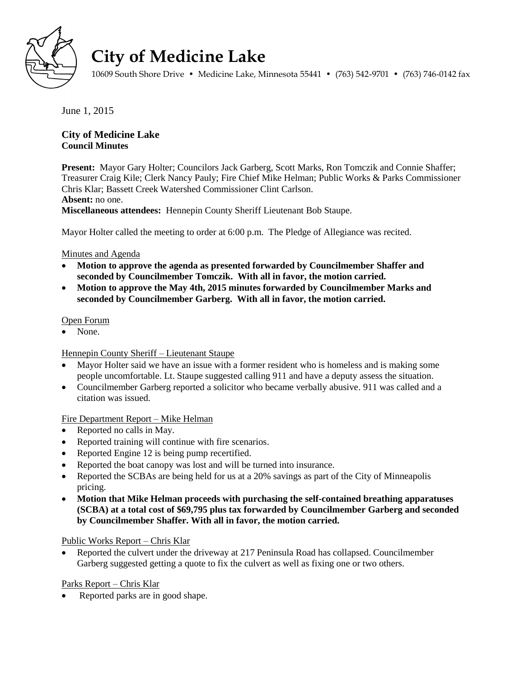

# **City of Medicine Lake**

10609 South Shore Drive • Medicine Lake, Minnesota 55441 • (763) 542-9701 • (763) 746-0142 fax

June 1, 2015

## **City of Medicine Lake Council Minutes**

**Present:** Mayor Gary Holter; Councilors Jack Garberg, Scott Marks, Ron Tomczik and Connie Shaffer; Treasurer Craig Kile; Clerk Nancy Pauly; Fire Chief Mike Helman; Public Works & Parks Commissioner Chris Klar; Bassett Creek Watershed Commissioner Clint Carlson. **Absent:** no one. **Miscellaneous attendees:** Hennepin County Sheriff Lieutenant Bob Staupe.

Mayor Holter called the meeting to order at 6:00 p.m. The Pledge of Allegiance was recited.

## Minutes and Agenda

- **Motion to approve the agenda as presented forwarded by Councilmember Shaffer and seconded by Councilmember Tomczik. With all in favor, the motion carried.**
- **Motion to approve the May 4th, 2015 minutes forwarded by Councilmember Marks and seconded by Councilmember Garberg. With all in favor, the motion carried.**

## Open Forum

None.

## Hennepin County Sheriff – Lieutenant Staupe

- Mayor Holter said we have an issue with a former resident who is homeless and is making some people uncomfortable. Lt. Staupe suggested calling 911 and have a deputy assess the situation.
- Councilmember Garberg reported a solicitor who became verbally abusive. 911 was called and a citation was issued.

## Fire Department Report – Mike Helman

- Reported no calls in May.
- Reported training will continue with fire scenarios.
- Reported Engine 12 is being pump recertified.
- Reported the boat canopy was lost and will be turned into insurance.
- Reported the SCBAs are being held for us at a 20% savings as part of the City of Minneapolis pricing.
- **Motion that Mike Helman proceeds with purchasing the self-contained breathing apparatuses (SCBA) at a total cost of \$69,795 plus tax forwarded by Councilmember Garberg and seconded by Councilmember Shaffer. With all in favor, the motion carried.**

## Public Works Report – Chris Klar

 Reported the culvert under the driveway at 217 Peninsula Road has collapsed. Councilmember Garberg suggested getting a quote to fix the culvert as well as fixing one or two others.

## Parks Report – Chris Klar

Reported parks are in good shape.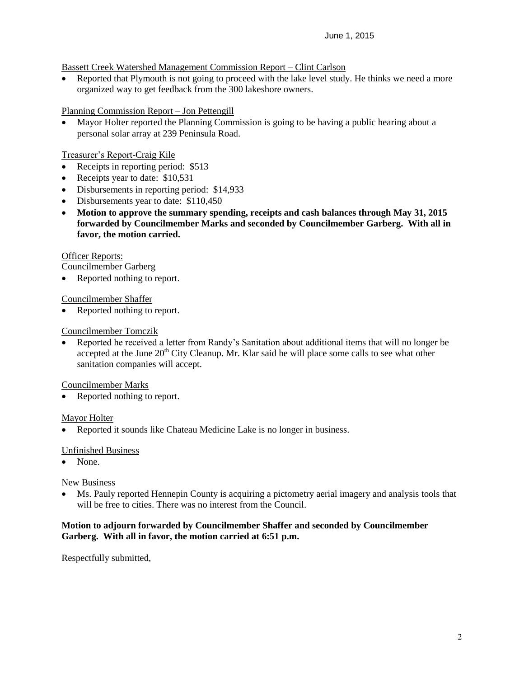## Bassett Creek Watershed Management Commission Report – Clint Carlson

• Reported that Plymouth is not going to proceed with the lake level study. He thinks we need a more organized way to get feedback from the 300 lakeshore owners.

Planning Commission Report – Jon Pettengill

 Mayor Holter reported the Planning Commission is going to be having a public hearing about a personal solar array at 239 Peninsula Road.

Treasurer's Report-Craig Kile

- Receipts in reporting period: \$513
- Receipts year to date: \$10,531
- Disbursements in reporting period: \$14,933
- Disbursements year to date: \$110,450
- **Motion to approve the summary spending, receipts and cash balances through May 31, 2015 forwarded by Councilmember Marks and seconded by Councilmember Garberg. With all in favor, the motion carried.**

## Officer Reports:

Councilmember Garberg

Reported nothing to report.

Councilmember Shaffer

Reported nothing to report.

## Councilmember Tomczik

 Reported he received a letter from Randy's Sanitation about additional items that will no longer be accepted at the June  $20<sup>th</sup>$  City Cleanup. Mr. Klar said he will place some calls to see what other sanitation companies will accept.

Councilmember Marks

Reported nothing to report.

## Mayor Holter

• Reported it sounds like Chateau Medicine Lake is no longer in business.

## Unfinished Business

• None.

## New Business

 Ms. Pauly reported Hennepin County is acquiring a pictometry aerial imagery and analysis tools that will be free to cities. There was no interest from the Council.

## **Motion to adjourn forwarded by Councilmember Shaffer and seconded by Councilmember Garberg. With all in favor, the motion carried at 6:51 p.m.**

Respectfully submitted,